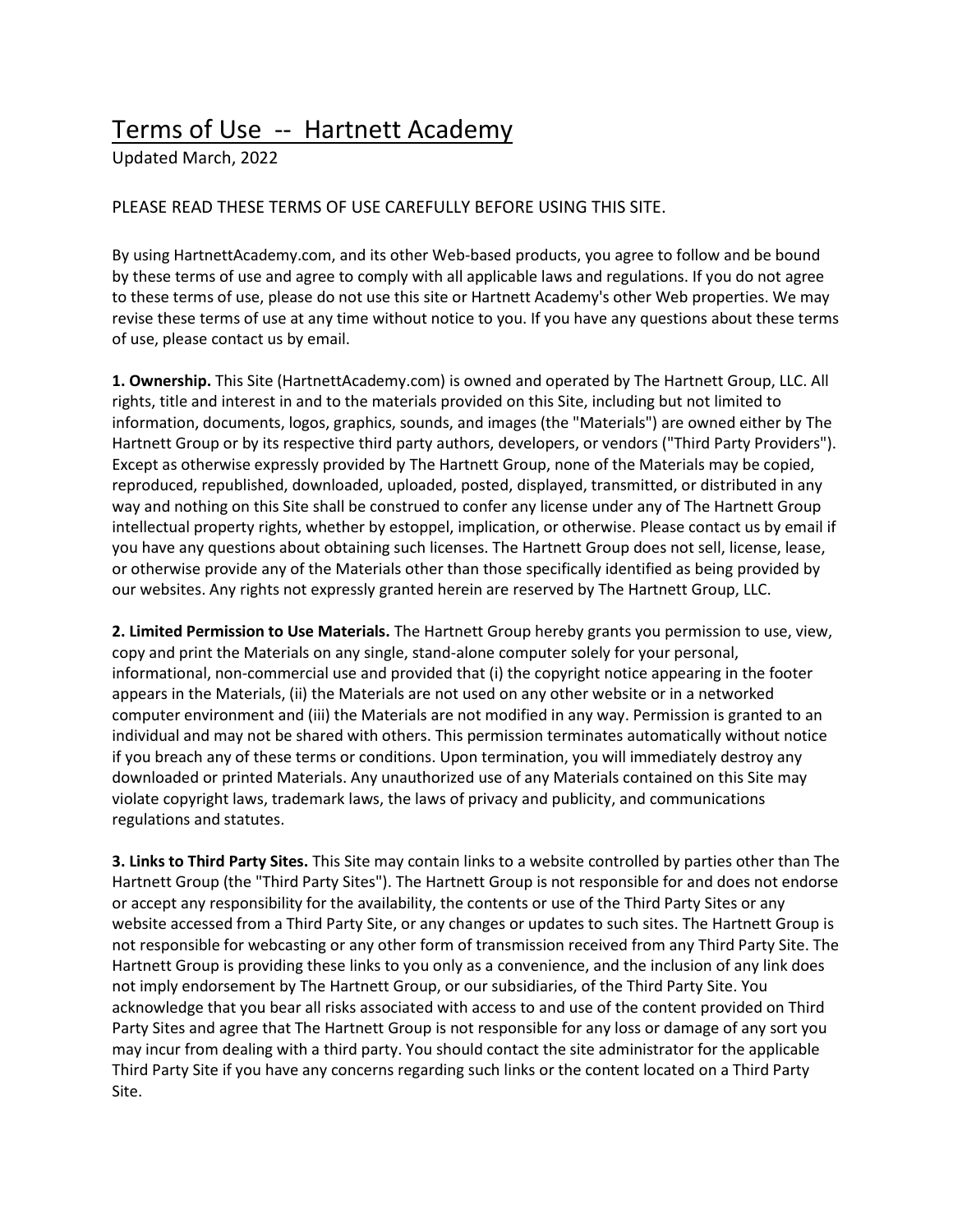## Terms of Use -- Hartnett Academy

Updated March, 2022

## PLEASE READ THESE TERMS OF USE CAREFULLY BEFORE USING THIS SITE.

By using HartnettAcademy.com, and its other Web-based products, you agree to follow and be bound by these terms of use and agree to comply with all applicable laws and regulations. If you do not agree to these terms of use, please do not use this site or Hartnett Academy's other Web properties. We may revise these terms of use at any time without notice to you. If you have any questions about these terms of use, please contact us by email.

**1. Ownership.** This Site (HartnettAcademy.com) is owned and operated by The Hartnett Group, LLC. All rights, title and interest in and to the materials provided on this Site, including but not limited to information, documents, logos, graphics, sounds, and images (the "Materials") are owned either by The Hartnett Group or by its respective third party authors, developers, or vendors ("Third Party Providers"). Except as otherwise expressly provided by The Hartnett Group, none of the Materials may be copied, reproduced, republished, downloaded, uploaded, posted, displayed, transmitted, or distributed in any way and nothing on this Site shall be construed to confer any license under any of The Hartnett Group intellectual property rights, whether by estoppel, implication, or otherwise. Please contact us by email if you have any questions about obtaining such licenses. The Hartnett Group does not sell, license, lease, or otherwise provide any of the Materials other than those specifically identified as being provided by our websites. Any rights not expressly granted herein are reserved by The Hartnett Group, LLC.

**2. Limited Permission to Use Materials.** The Hartnett Group hereby grants you permission to use, view, copy and print the Materials on any single, stand-alone computer solely for your personal, informational, non-commercial use and provided that (i) the copyright notice appearing in the footer appears in the Materials, (ii) the Materials are not used on any other website or in a networked computer environment and (iii) the Materials are not modified in any way. Permission is granted to an individual and may not be shared with others. This permission terminates automatically without notice if you breach any of these terms or conditions. Upon termination, you will immediately destroy any downloaded or printed Materials. Any unauthorized use of any Materials contained on this Site may violate copyright laws, trademark laws, the laws of privacy and publicity, and communications regulations and statutes.

**3. Links to Third Party Sites.** This Site may contain links to a website controlled by parties other than The Hartnett Group (the "Third Party Sites"). The Hartnett Group is not responsible for and does not endorse or accept any responsibility for the availability, the contents or use of the Third Party Sites or any website accessed from a Third Party Site, or any changes or updates to such sites. The Hartnett Group is not responsible for webcasting or any other form of transmission received from any Third Party Site. The Hartnett Group is providing these links to you only as a convenience, and the inclusion of any link does not imply endorsement by The Hartnett Group, or our subsidiaries, of the Third Party Site. You acknowledge that you bear all risks associated with access to and use of the content provided on Third Party Sites and agree that The Hartnett Group is not responsible for any loss or damage of any sort you may incur from dealing with a third party. You should contact the site administrator for the applicable Third Party Site if you have any concerns regarding such links or the content located on a Third Party Site.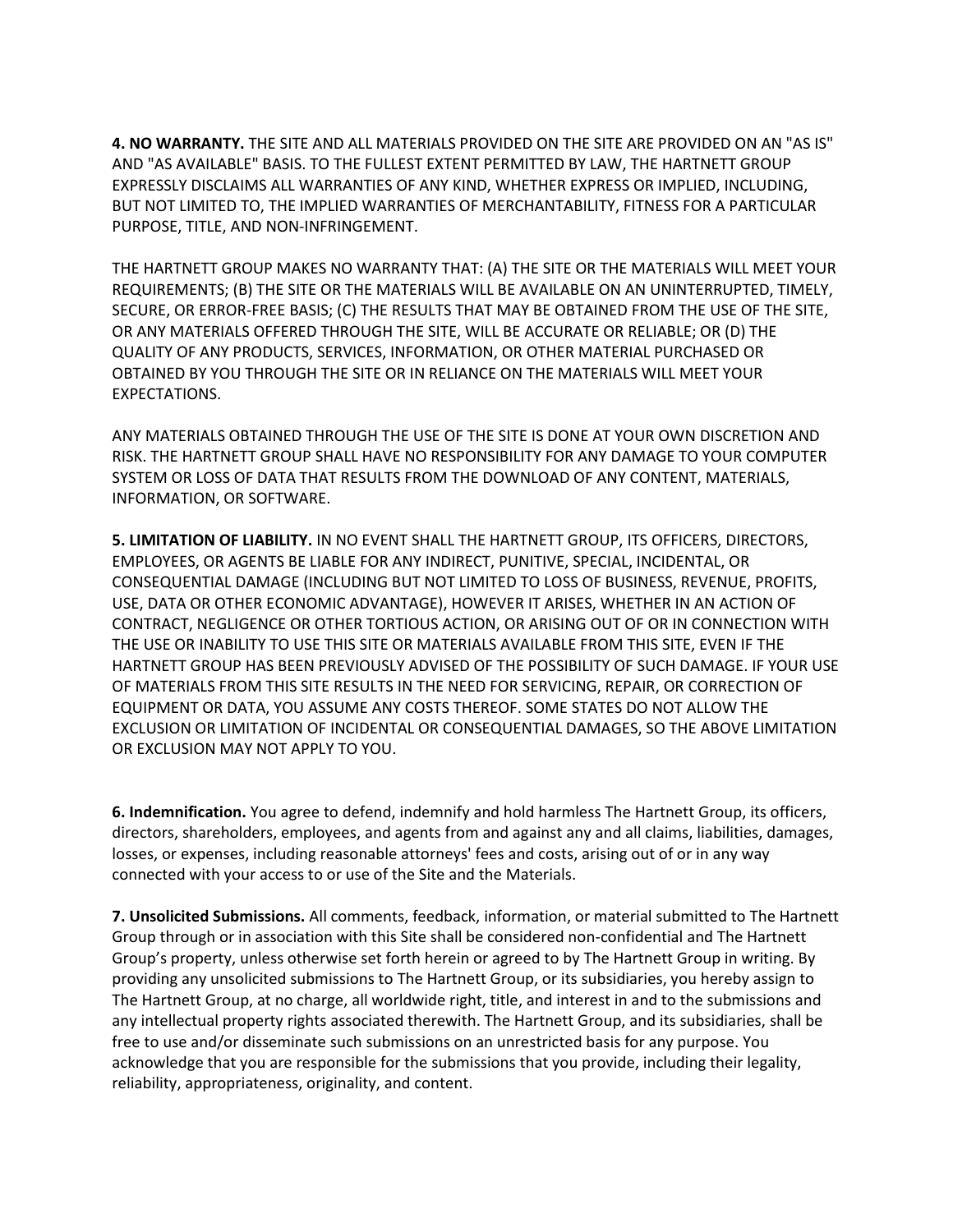**4. NO WARRANTY.** THE SITE AND ALL MATERIALS PROVIDED ON THE SITE ARE PROVIDED ON AN "AS IS" AND "AS AVAILABLE" BASIS. TO THE FULLEST EXTENT PERMITTED BY LAW, THE HARTNETT GROUP EXPRESSLY DISCLAIMS ALL WARRANTIES OF ANY KIND, WHETHER EXPRESS OR IMPLIED, INCLUDING, BUT NOT LIMITED TO, THE IMPLIED WARRANTIES OF MERCHANTABILITY, FITNESS FOR A PARTICULAR PURPOSE, TITLE, AND NON-INFRINGEMENT.

THE HARTNETT GROUP MAKES NO WARRANTY THAT: (A) THE SITE OR THE MATERIALS WILL MEET YOUR REQUIREMENTS; (B) THE SITE OR THE MATERIALS WILL BE AVAILABLE ON AN UNINTERRUPTED, TIMELY, SECURE, OR ERROR-FREE BASIS; (C) THE RESULTS THAT MAY BE OBTAINED FROM THE USE OF THE SITE, OR ANY MATERIALS OFFERED THROUGH THE SITE, WILL BE ACCURATE OR RELIABLE; OR (D) THE QUALITY OF ANY PRODUCTS, SERVICES, INFORMATION, OR OTHER MATERIAL PURCHASED OR OBTAINED BY YOU THROUGH THE SITE OR IN RELIANCE ON THE MATERIALS WILL MEET YOUR EXPECTATIONS.

ANY MATERIALS OBTAINED THROUGH THE USE OF THE SITE IS DONE AT YOUR OWN DISCRETION AND RISK. THE HARTNETT GROUP SHALL HAVE NO RESPONSIBILITY FOR ANY DAMAGE TO YOUR COMPUTER SYSTEM OR LOSS OF DATA THAT RESULTS FROM THE DOWNLOAD OF ANY CONTENT, MATERIALS, INFORMATION, OR SOFTWARE.

**5. LIMITATION OF LIABILITY.** IN NO EVENT SHALL THE HARTNETT GROUP, ITS OFFICERS, DIRECTORS, EMPLOYEES, OR AGENTS BE LIABLE FOR ANY INDIRECT, PUNITIVE, SPECIAL, INCIDENTAL, OR CONSEQUENTIAL DAMAGE (INCLUDING BUT NOT LIMITED TO LOSS OF BUSINESS, REVENUE, PROFITS, USE, DATA OR OTHER ECONOMIC ADVANTAGE), HOWEVER IT ARISES, WHETHER IN AN ACTION OF CONTRACT, NEGLIGENCE OR OTHER TORTIOUS ACTION, OR ARISING OUT OF OR IN CONNECTION WITH THE USE OR INABILITY TO USE THIS SITE OR MATERIALS AVAILABLE FROM THIS SITE, EVEN IF THE HARTNETT GROUP HAS BEEN PREVIOUSLY ADVISED OF THE POSSIBILITY OF SUCH DAMAGE. IF YOUR USE OF MATERIALS FROM THIS SITE RESULTS IN THE NEED FOR SERVICING, REPAIR, OR CORRECTION OF EQUIPMENT OR DATA, YOU ASSUME ANY COSTS THEREOF. SOME STATES DO NOT ALLOW THE EXCLUSION OR LIMITATION OF INCIDENTAL OR CONSEQUENTIAL DAMAGES, SO THE ABOVE LIMITATION OR EXCLUSION MAY NOT APPLY TO YOU.

**6. Indemnification.** You agree to defend, indemnify and hold harmless The Hartnett Group, its officers, directors, shareholders, employees, and agents from and against any and all claims, liabilities, damages, losses, or expenses, including reasonable attorneys' fees and costs, arising out of or in any way connected with your access to or use of the Site and the Materials.

**7. Unsolicited Submissions.** All comments, feedback, information, or material submitted to The Hartnett Group through or in association with this Site shall be considered non-confidential and The Hartnett Group's property, unless otherwise set forth herein or agreed to by The Hartnett Group in writing. By providing any unsolicited submissions to The Hartnett Group, or its subsidiaries, you hereby assign to The Hartnett Group, at no charge, all worldwide right, title, and interest in and to the submissions and any intellectual property rights associated therewith. The Hartnett Group, and its subsidiaries, shall be free to use and/or disseminate such submissions on an unrestricted basis for any purpose. You acknowledge that you are responsible for the submissions that you provide, including their legality, reliability, appropriateness, originality, and content.